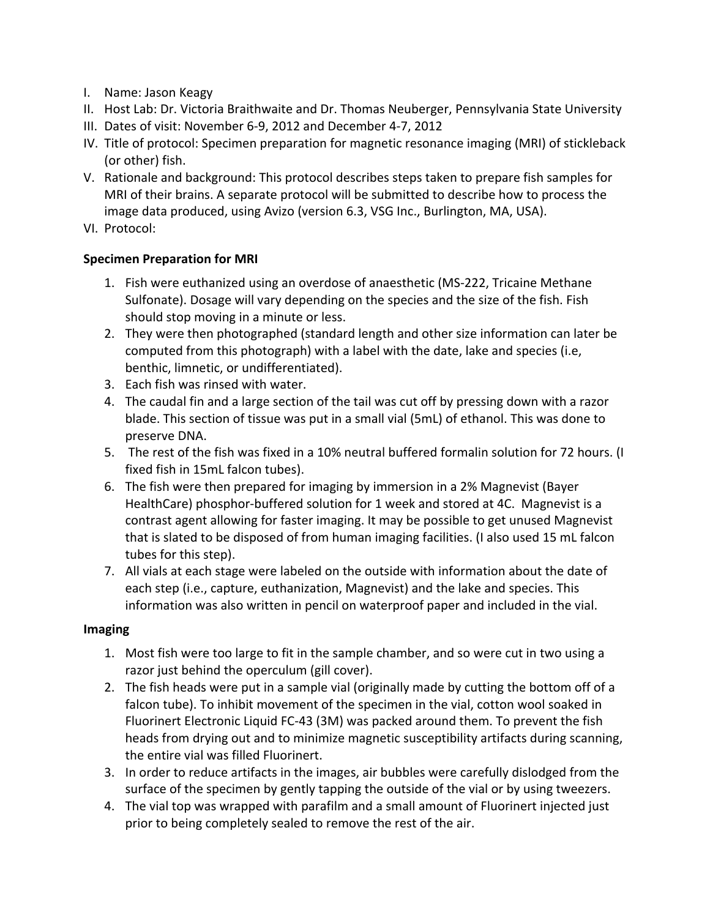- I. Name: Jason Keagy
- II. Host Lab: Dr. Victoria Braithwaite and Dr. Thomas Neuberger, Pennsylvania State University
- III. Dates of visit: November 6-9, 2012 and December 4-7, 2012
- IV. Title of protocol: Specimen preparation for magnetic resonance imaging (MRI) of stickleback (or other) fish.
- V. Rationale and background: This protocol describes steps taken to prepare fish samples for MRI of their brains. A separate protocol will be submitted to describe how to process the image data produced, using Avizo (version 6.3, VSG Inc., Burlington, MA, USA).
- VI. Protocol:

## **Specimen Preparation for MRI**

- 1. Fish were euthanized using an overdose of anaesthetic (MS-222, Tricaine Methane Sulfonate). Dosage will vary depending on the species and the size of the fish. Fish should stop moving in a minute or less.
- 2. They were then photographed (standard length and other size information can later be computed from this photograph) with a label with the date, lake and species (i.e, benthic, limnetic, or undifferentiated).
- 3. Each fish was rinsed with water.
- 4. The caudal fin and a large section of the tail was cut off by pressing down with a razor blade. This section of tissue was put in a small vial (5mL) of ethanol. This was done to preserve DNA.
- 5. The rest of the fish was fixed in a 10% neutral buffered formalin solution for 72 hours. (I fixed fish in 15mL falcon tubes).
- 6. The fish were then prepared for imaging by immersion in a 2% Magnevist (Bayer HealthCare) phosphor-buffered solution for 1 week and stored at 4C. Magnevist is a contrast agent allowing for faster imaging. It may be possible to get unused Magnevist that is slated to be disposed of from human imaging facilities. (I also used 15 mL falcon tubes for this step).
- 7. All vials at each stage were labeled on the outside with information about the date of each step (i.e., capture, euthanization, Magnevist) and the lake and species. This information was also written in pencil on waterproof paper and included in the vial.

## **Imaging**

- 1. Most fish were too large to fit in the sample chamber, and so were cut in two using a razor just behind the operculum (gill cover).
- 2. The fish heads were put in a sample vial (originally made by cutting the bottom off of a falcon tube). To inhibit movement of the specimen in the vial, cotton wool soaked in Fluorinert Electronic Liquid FC-43 (3M) was packed around them. To prevent the fish heads from drying out and to minimize magnetic susceptibility artifacts during scanning, the entire vial was filled Fluorinert.
- 3. In order to reduce artifacts in the images, air bubbles were carefully dislodged from the surface of the specimen by gently tapping the outside of the vial or by using tweezers.
- 4. The vial top was wrapped with parafilm and a small amount of Fluorinert injected just prior to being completely sealed to remove the rest of the air.